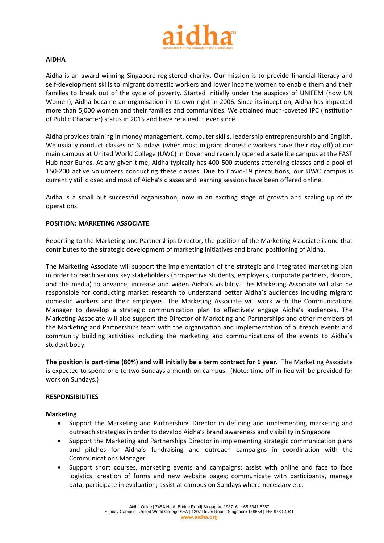

## **AIDHA**

Aidha is an award-winning Singapore-registered charity. Our mission is to provide financial literacy and self-development skills to migrant domestic workers and lower income women to enable them and their families to break out of the cycle of poverty. Started initially under the auspices of UNIFEM (now UN Women), Aidha became an organisation in its own right in 2006. Since its inception, Aidha has impacted more than 5,000 women and their families and communities. We attained much-coveted IPC (Institution of Public Character) status in 2015 and have retained it ever since.

Aidha provides training in money management, computer skills, leadership entrepreneurship and English. We usually conduct classes on Sundays (when most migrant domestic workers have their day off) at our main campus at United World College (UWC) in Dover and recently opened a satellite campus at the FAST Hub near Eunos. At any given time, Aidha typically has 400-500 students attending classes and a pool of 150-200 active volunteers conducting these classes. Due to Covid-19 precautions, our UWC campus is currently still closed and most of Aidha's classes and learning sessions have been offered online.

Aidha is a small but successful organisation, now in an exciting stage of growth and scaling up of its operations.

## **POSITION: MARKETING ASSOCIATE**

Reporting to the Marketing and Partnerships Director, the position of the Marketing Associate is one that contributes to the strategic development of marketing initiatives and brand positioning of Aidha.

The Marketing Associate will support the implementation of the strategic and integrated marketing plan in order to reach various key stakeholders (prospective students, employers, corporate partners, donors, and the media) to advance, increase and widen Aidha's visibility. The Marketing Associate will also be responsible for conducting market research to understand better Aidha's audiences including migrant domestic workers and their employers. The Marketing Associate will work with the Communications Manager to develop a strategic communication plan to effectively engage Aidha's audiences. The Marketing Associate will also support the Director of Marketing and Partnerships and other members of the Marketing and Partnerships team with the organisation and implementation of outreach events and community building activities including the marketing and communications of the events to Aidha's student body.

**The position is part-time (80%) and will initially be a term contract for 1 year.** The Marketing Associate is expected to spend one to two Sundays a month on campus.  (Note: time off-in-lieu will be provided for work on Sundays.)

# **RESPONSIBILITIES**

#### **Marketing**

- Support the Marketing and Partnerships Director in defining and implementing marketing and outreach strategies in order to develop Aidha's brand awareness and visibility in Singapore
- Support the Marketing and Partnerships Director in implementing strategic communication plans and pitches for Aidha's fundraising and outreach campaigns in coordination with the Communications Manager
- Support short courses, marketing events and campaigns: assist with online and face to face logistics; creation of forms and new website pages; communicate with participants, manage data; participate in evaluation; assist at campus on Sundays where necessary etc.